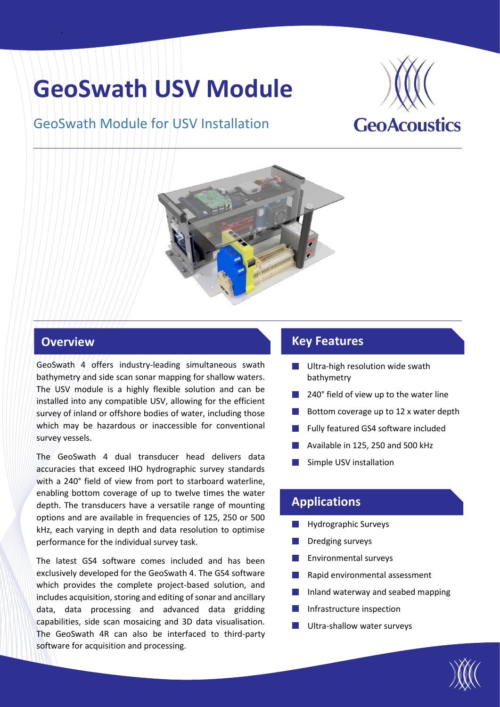# **GeoSwath USV Module**

## GeoSwath Module for USV Installation





#### **Overview**

`

GeoSwath 4 offers industry-leading simultaneous swath bathymetry and side scan sonar mapping for shallow waters. The USV module is a highly flexible solution and can be installed into any compatible USV, allowing for the efficient survey of inland or offshore bodies of water, including those which may be hazardous or inaccessible for conventional survey vessels.

The GeoSwath 4 dual transducer head delivers data accuracies that exceed IHO hydrographic survey standards with a 240° field of view from port to starboard waterline, enabling bottom coverage of up to twelve times the water depth. The transducers have a versatile range of mounting options and are available in frequencies of 125, 250 or 500 kHz, each varying in depth and data resolution to optimise performance for the individual survey task.

The latest GS4 software comes included and has been exclusively developed for the GeoSwath 4. The GS4 software which provides the complete project-based solution, and includes acquisition, storing and editing of sonar and ancillary data, data processing and advanced data gridding capabilities, side scan mosaicing and 3D data visualisation. The GeoSwath 4R can also be interfaced to third-party software for acquisition and processing.

### **Key Features**

- $\mathcal{L}^{\text{max}}$ Ultra-high resolution wide swath bathymetry
- 240° field of view up to the water line
- Bottom coverage up to 12 x water depth
- Fully featured GS4 software included
- Available in 125, 250 and 500 kHz
- Simple USV installation

#### **Applications**

- Hydrographic Surveys **The Contract**
- Dredging surveys
- Environmental surveys
- Rapid environmental assessment
- Inland waterway and seabed mapping
- Infrastructure inspection
- Ultra-shallow water surveys